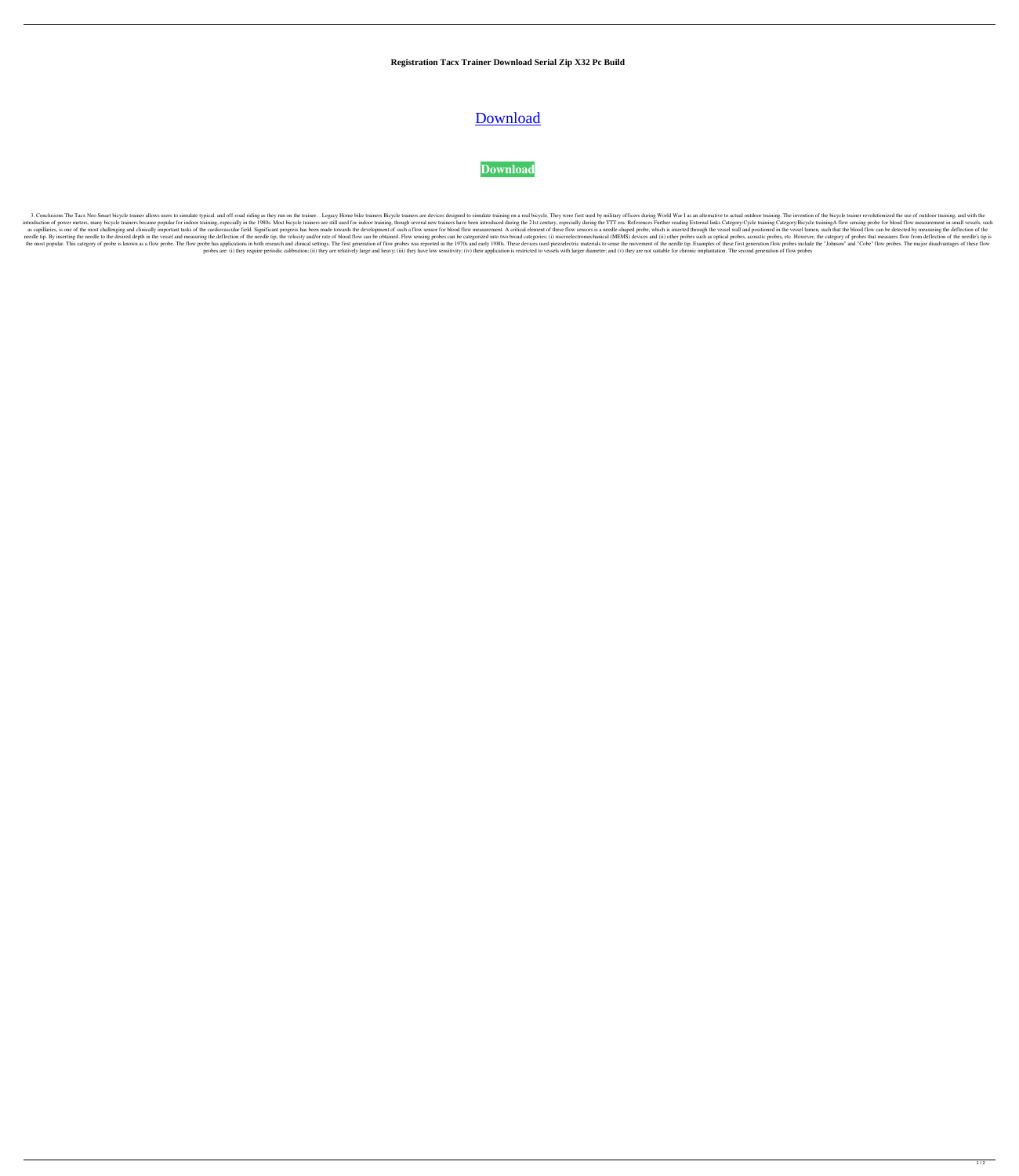**Registration Tacx Trainer Download Serial Zip X32 Pc Build**

## **[Download](http://evacdir.com/ZG93bmxvYWR8YTdCWkcxaWZId3hOalV5TnpRd09EWTJmSHd5TlRjMGZId29UU2tnY21WaFpDMWliRzluSUZ0R1lYTjBJRWRGVGww/earbud/firewall/honorary/vijaykanth.poque/VGFjeCBUcmFpbmVyIFNvZnR3YXJlIDQgMC40NwVGF.chandiramani)**

## **[Download](http://evacdir.com/ZG93bmxvYWR8YTdCWkcxaWZId3hOalV5TnpRd09EWTJmSHd5TlRjMGZId29UU2tnY21WaFpDMWliRzluSUZ0R1lYTjBJRWRGVGww/earbud/firewall/honorary/vijaykanth.poque/VGFjeCBUcmFpbmVyIFNvZnR3YXJlIDQgMC40NwVGF.chandiramani)**

3. Conclusions The Tacx Neo Smart bicycle trainer allows users to simulate typical. and off-road riding as they run on the trainer. . Legacy Home bike trainers Bicycle training on a real bicycle. They were first used by mi introduction of power meters, many bicycle trainers became popular for indoor training, especially in the 1980s. Most bicycle trainers are still used for indoor training, though several new trainers have been introduced du as capillaries, is one of the most challenging and clinically important tasks of the cardiovascular field. Significant progress has been made towards the development of such a flow sensor is a needle-shaped probe, which is needle tip. By inserting the needle to the desired depth in the vessel and measuring the deflection of the needle tip, the velocity and/or rate of blood flow can be obtained. Flow sensing probes can be categorized into two the most popular. This category of probe is known as a flow probe. The flow probe has applications in both research and clinical settings. The first generation of flow probes was reported in the 1970s and early 1980s. Thes probes are: (i) they require periodic calibration; (ii) they are relatively large and heavy; (iii) they have low sensitivity; (iv) their application is restricted to vessels with larger diameter; and (v) they are not suita